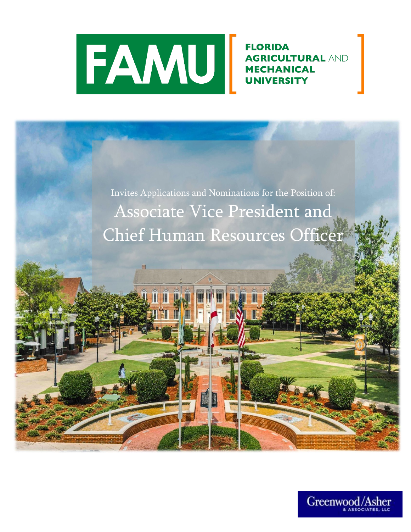

**FLORIDA AGRICULTURAL AND MECHANICAL UNIVERSITY** 

Invites Applications and Nominations for the Position of: Associate Vice President and Chief Human Resources Officer

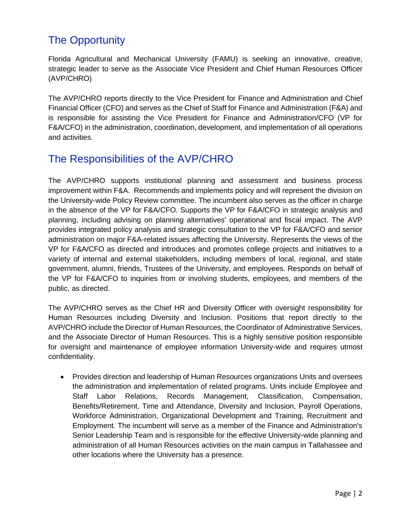## The Opportunity

Florida Agricultural and Mechanical University (FAMU) is seeking an innovative, creative, strategic leader to serve as the Associate Vice President and Chief Human Resources Officer (AVP/CHRO)

The AVP/CHRO reports directly to the Vice President for Finance and Administration and Chief Financial Officer (CFO) and serves as the Chief of Staff for Finance and Administration (F&A) and is responsible for assisting the Vice President for Finance and Administration/CFO (VP for F&A/CFO) in the administration, coordination, development, and implementation of all operations and activities.

### The Responsibilities of the AVP/CHRO

The AVP/CHRO supports institutional planning and assessment and business process improvement within F&A. Recommends and implements policy and will represent the division on the University-wide Policy Review committee. The incumbent also serves as the officer in charge in the absence of the VP for F&A/CFO. Supports the VP for F&A/CFO in strategic analysis and planning, including advising on planning alternatives' operational and fiscal impact. The AVP provides integrated policy analysis and strategic consultation to the VP for F&A/CFO and senior administration on major F&A-related issues affecting the University. Represents the views of the VP for F&A/CFO as directed and introduces and promotes college projects and initiatives to a variety of internal and external stakeholders, including members of local, regional, and state government, alumni, friends, Trustees of the University, and employees. Responds on behalf of the VP for F&A/CFO to inquiries from or involving students, employees, and members of the public, as directed.

The AVP/CHRO serves as the Chief HR and Diversity Officer with oversight responsibility for Human Resources including Diversity and Inclusion. Positions that report directly to the AVP/CHRO include the Director of Human Resources, the Coordinator of Administrative Services, and the Associate Director of Human Resources. This is a highly sensitive position responsible for oversight and maintenance of employee information University-wide and requires utmost confidentiality.

• Provides direction and leadership of Human Resources organizations Units and oversees the administration and implementation of related programs. Units include Employee and Staff Labor Relations, Records Management, Classification, Compensation, Benefits/Retirement, Time and Attendance, Diversity and Inclusion, Payroll Operations, Workforce Administration, Organizational Development and Training, Recruitment and Employment. The incumbent will serve as a member of the Finance and Administration's Senior Leadership Team and is responsible for the effective University-wide planning and administration of all Human Resources activities on the main campus in Tallahassee and other locations where the University has a presence.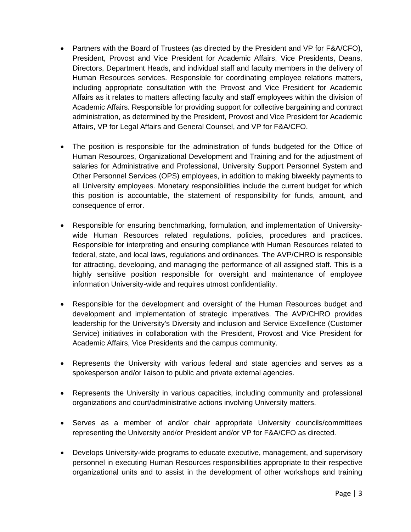- Partners with the Board of Trustees (as directed by the President and VP for F&A/CFO), President, Provost and Vice President for Academic Affairs, Vice Presidents, Deans, Directors, Department Heads, and individual staff and faculty members in the delivery of Human Resources services. Responsible for coordinating employee relations matters, including appropriate consultation with the Provost and Vice President for Academic Affairs as it relates to matters affecting faculty and staff employees within the division of Academic Affairs. Responsible for providing support for collective bargaining and contract administration, as determined by the President, Provost and Vice President for Academic Affairs, VP for Legal Affairs and General Counsel, and VP for F&A/CFO.
- The position is responsible for the administration of funds budgeted for the Office of Human Resources, Organizational Development and Training and for the adjustment of salaries for Administrative and Professional, University Support Personnel System and Other Personnel Services (OPS) employees, in addition to making biweekly payments to all University employees. Monetary responsibilities include the current budget for which this position is accountable, the statement of responsibility for funds, amount, and consequence of error.
- Responsible for ensuring benchmarking, formulation, and implementation of Universitywide Human Resources related regulations, policies, procedures and practices. Responsible for interpreting and ensuring compliance with Human Resources related to federal, state, and local laws, regulations and ordinances. The AVP/CHRO is responsible for attracting, developing, and managing the performance of all assigned staff. This is a highly sensitive position responsible for oversight and maintenance of employee information University-wide and requires utmost confidentiality.
- Responsible for the development and oversight of the Human Resources budget and development and implementation of strategic imperatives. The AVP/CHRO provides leadership for the University's Diversity and inclusion and Service Excellence (Customer Service) initiatives in collaboration with the President, Provost and Vice President for Academic Affairs, Vice Presidents and the campus community.
- Represents the University with various federal and state agencies and serves as a spokesperson and/or liaison to public and private external agencies.
- Represents the University in various capacities, including community and professional organizations and court/administrative actions involving University matters.
- Serves as a member of and/or chair appropriate University councils/committees representing the University and/or President and/or VP for F&A/CFO as directed.
- Develops University-wide programs to educate executive, management, and supervisory personnel in executing Human Resources responsibilities appropriate to their respective organizational units and to assist in the development of other workshops and training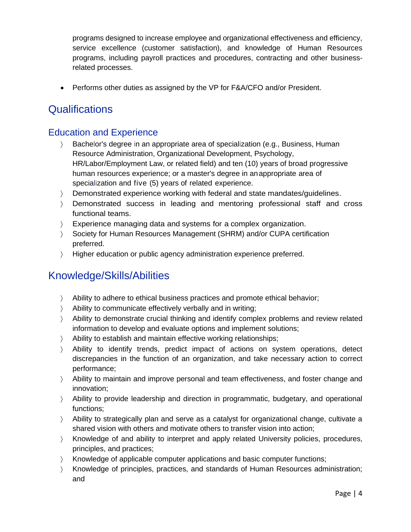programs designed to increase employee and organizational effectiveness and efficiency, service excellence (customer satisfaction), and knowledge of Human Resources programs, including payroll practices and procedures, contracting and other businessrelated processes.

• Performs other duties as assigned by the VP for F&A/CFO and/or President.

### **Qualifications**

#### Education and Experience

- Bachelor's degree in an appropriate area of specialization (e.g., Business, Human Resource Administration, Organizational Development, Psychology, HR/Labor/Employment Law, or related field) and ten (10) years of broad progressive human resources experience; or a master's degree in anappropriate area of specialization and five (5) years of related experience.
- Demonstrated experience working with federal and state mandates/guidelines.
- Demonstrated success in leading and mentoring professional staff and cross functional teams.
- Experience managing data and systems for a complex organization.
- Society for Human Resources Management (SHRM) and/or CUPA certification preferred.
- Higher education or public agency administration experience preferred.

### Knowledge/Skills/Abilities

- Ability to adhere to ethical business practices and promote ethical behavior;
- Ability to communicate effectively verbally and in writing;
- Ability to demonstrate crucial thinking and identify complex problems and review related information to develop and evaluate options and implement solutions;
- Ability to establish and maintain effective working relationships;
- Ability to identify trends, predict impact of actions on system operations, detect discrepancies in the function of an organization, and take necessary action to correct performance;
- Ability to maintain and improve personal and team effectiveness, and foster change and innovation;
- Ability to provide leadership and direction in programmatic, budgetary, and operational functions;
- Ability to strategically plan and serve as a catalyst for organizational change, cultivate a shared vision with others and motivate others to transfer vision into action;
- Knowledge of and ability to interpret and apply related University policies, procedures, principles, and practices;
- Knowledge of applicable computer applications and basic computer functions;
- Knowledge of principles, practices, and standards of Human Resources administration; and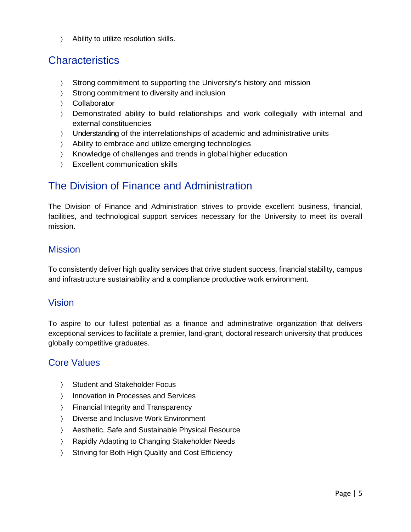Ability to utilize resolution skills.

### **Characteristics**

- Strong commitment to supporting the University's history and mission
- Strong commitment to diversity and inclusion
- Collaborator
- Demonstrated ability to build relationships and work collegially with internal and external constituencies
- Understanding of the interrelationships of academic and administrative units
- Ability to embrace and utilize emerging technologies
- X Knowledge of challenges and trends in global higher education
- Excellent communication skills

### The Division of Finance and Administration

The Division of Finance and Administration strives to provide excellent business, financial, facilities, and technological support services necessary for the University to meet its overall mission.

#### **Mission**

To consistently deliver high quality services that drive student success, financial stability, campus and infrastructure sustainability and a compliance productive work environment.

#### Vision

To aspire to our fullest potential as a finance and administrative organization that delivers exceptional services to facilitate a premier, land-grant, doctoral research university that produces globally competitive graduates.

#### Core Values

- > Student and Stakeholder Focus
- > Innovation in Processes and Services
- Financial Integrity and Transparency
- Diverse and Inclusive Work Environment
- Aesthetic, Safe and Sustainable Physical Resource
- Rapidly Adapting to Changing Stakeholder Needs
- Striving for Both High Quality and Cost Efficiency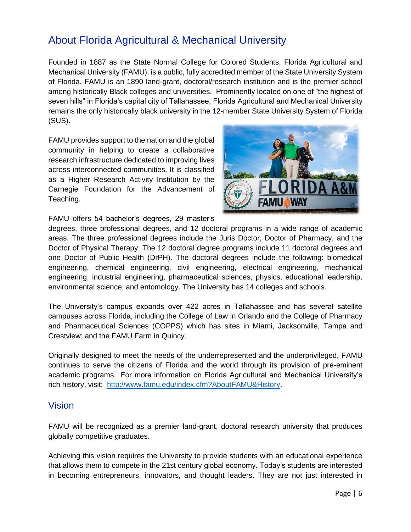### About Florida Agricultural & Mechanical University

Founded in 1887 as the State Normal College for Colored Students, Florida Agricultural and Mechanical University (FAMU), is a public, fully accredited member of the State University System of Florida. FAMU is an 1890 land-grant, doctoral/research institution and is the premier school among historically Black colleges and universities. Prominently located on one of "the highest of seven hills" in Florida's capital city of Tallahassee, Florida Agricultural and Mechanical University remains the only historically black university in the 12-member State University System of Florida (SUS).

FAMU provides support to the nation and the global community in helping to create a collaborative research infrastructure dedicated to improving lives across interconnected communities. It is classified as a Higher Research Activity Institution by the Carnegie Foundation for the Advancement of Teaching.

FAMU offers 54 bachelor's degrees, 29 master's



degrees, three professional degrees, and 12 doctoral programs in a wide range of academic areas. The three professional degrees include the Juris Doctor, Doctor of Pharmacy, and the Doctor of Physical Therapy. The 12 doctoral degree programs include 11 doctoral degrees and one Doctor of Public Health (DrPH). The doctoral degrees include the following: biomedical engineering, chemical engineering, civil engineering, electrical engineering, mechanical engineering, industrial engineering, pharmaceutical sciences, physics, educational leadership, environmental science, and entomology. The University has 14 colleges and schools.

The University's campus expands over 422 acres in Tallahassee and has several satellite campuses across Florida, including the College of Law in Orlando and the College of Pharmacy and Pharmaceutical Sciences (COPPS) which has sites in Miami, Jacksonville, Tampa and Crestview; and the FAMU Farm in Quincy.

Originally designed to meet the needs of the underrepresented and the underprivileged, FAMU continues to serve the citizens of Florida and the world through its provision of pre-eminent academic programs. For more information on Florida Agricultural and Mechanical University's rich history, visit: [http://www.famu.edu/index.cfm?AboutFAMU&History.](http://www.famu.edu/index.cfm?AboutFAMU&History)

#### Vision

FAMU will be recognized as a premier land-grant, doctoral research university that produces globally competitive graduates.

Achieving this vision requires the University to provide students with an educational experience that allows them to compete in the 21st century global economy. Today's students are interested in becoming entrepreneurs, innovators, and thought leaders. They are not just interested in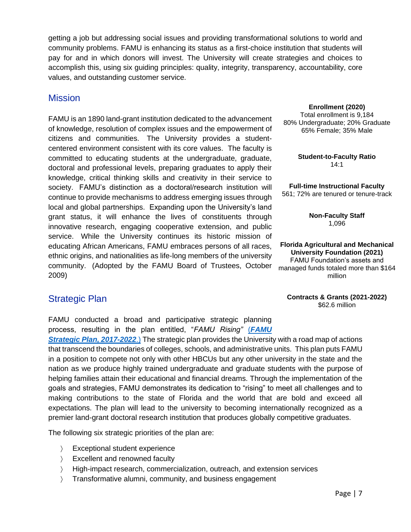getting a job but addressing social issues and providing transformational solutions to world and community problems. FAMU is enhancing its status as a first-choice institution that students will pay for and in which donors will invest. The University will create strategies and choices to accomplish this, using six guiding principles: quality, integrity, transparency, accountability, core values, and outstanding customer service.

#### **Mission**

FAMU is an 1890 land-grant institution dedicated to the advancement of knowledge, resolution of complex issues and the empowerment of citizens and communities. The University provides a studentcentered environment consistent with its core values. The faculty is committed to educating students at the undergraduate, graduate, doctoral and professional levels, preparing graduates to apply their knowledge, critical thinking skills and creativity in their service to society. FAMU's distinction as a doctoral/research institution will continue to provide mechanisms to address emerging issues through local and global partnerships. Expanding upon the University's land grant status, it will enhance the lives of constituents through innovative research, engaging cooperative extension, and public service. While the University continues its historic mission of educating African Americans, FAMU embraces persons of all races, ethnic origins, and nationalities as life-long members of the university community. (Adopted by the FAMU Board of Trustees, October 2009)

#### Strategic Plan

FAMU conducted a broad and participative strategic planning process, resulting in the plan entitled, "*FAMU Rising"* [\(](http://www.famu.edu/Strategic/FAMU%20Strategic%20Plan%202017-2022%20Final_reduced%20size.pdf)*[FAMU](http://www.famu.edu/Strategic/FAMU%20Strategic%20Plan%202017-2022%20Final_reduced%20size.pdf)* 

*[Strategic Plan, 2017-2022](http://www.famu.edu/Strategic/FAMU%20Strategic%20Plan%202017-2022%20Final_reduced%20size.pdf)*[.\)](http://www.famu.edu/Strategic/FAMU%20Strategic%20Plan%202017-2022%20Final_reduced%20size.pdf) The strategic plan provides the University with a road map of actions that transcend the boundaries of colleges, schools, and administrative units. This plan puts FAMU in a position to compete not only with other HBCUs but any other university in the state and the nation as we produce highly trained undergraduate and graduate students with the purpose of helping families attain their educational and financial dreams. Through the implementation of the goals and strategies, FAMU demonstrates its dedication to "rising" to meet all challenges and to making contributions to the state of Florida and the world that are bold and exceed all expectations. The plan will lead to the university to becoming internationally recognized as a premier land-grant doctoral research institution that produces globally competitive graduates.

The following six strategic priorities of the plan are:

- Exceptional student experience
- Excellent and renowned faculty
- High-impact research, commercialization, outreach, and extension services
- Transformative alumni, community, and business engagement

**Enrollment (2020)**

Total enrollment is 9,184 80% Undergraduate; 20% Graduate 65% Female; 35% Male

> **Student-to-Faculty Ratio** 14:1

**Full-time Instructional Faculty** 561; 72% are tenured or tenure-track

> **Non-Faculty Staff** 1,096

**Florida Agricultural and Mechanical University Foundation (2021)** FAMU Foundation's assets and managed funds totaled more than \$164 million

**Contracts & Grants (2021-2022)** \$62.6 million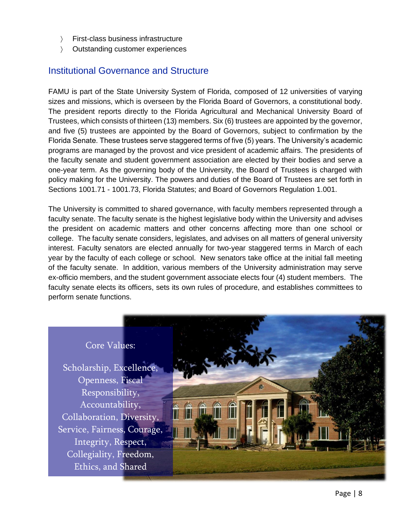- First-class business infrastructure
- Outstanding customer experiences

#### Institutional Governance and Structure

FAMU is part of the State University System of Florida, composed of 12 universities of varying sizes and missions, which is overseen by the Florida Board of Governors, a constitutional body. The president reports directly to the Florida Agricultural and Mechanical University Board of Trustees, which consists of thirteen (13) members. Six (6) trustees are appointed by the governor, and five (5) trustees are appointed by the Board of Governors, subject to confirmation by the Florida Senate. These trustees serve staggered terms of five (5) years. The University's academic programs are managed by the provost and vice president of academic affairs. The presidents of the faculty senate and student government association are elected by their bodies and serve a one-year term. As the governing body of the University, the Board of Trustees is charged with policy making for the University. The powers and duties of the Board of Trustees are set forth in Sections 1001.71 - 1001.73, Florida Statutes; and Board of Governors Regulation 1.001.

The University is committed to shared governance, with faculty members represented through a faculty senate. The faculty senate is the highest legislative body within the University and advises the president on academic matters and other concerns affecting more than one school or college. The faculty senate considers, legislates, and advises on all matters of general university interest. Faculty senators are elected annually for two-year staggered terms in March of each year by the faculty of each college or school. New senators take office at the initial fall meeting of the faculty senate. In addition, various members of the University administration may serve ex-officio members, and the student government associate elects four (4) student members. The faculty senate elects its officers, sets its own rules of procedure, and establishes committees to perform senate functions.

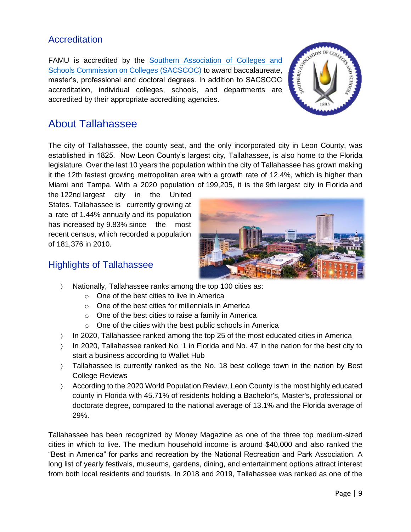#### **Accreditation**

FAMU is accredited by the Southern Association of Colleges and [Schools Commission on Colleges \(SACSCOC\)](http://www.sacscoc.org/) to award baccalaureate, master's, professional and doctoral degrees. In addition to SACSCOC accreditation, individual colleges, schools, and departments are accredited by their appropriate accrediting agencies.



### About Tallahassee

The city of Tallahassee, the county seat, and the only incorporated city in Leon County, was established in 1825. Now Leon County's largest city, Tallahassee, is also home to the Florida legislature. Over the last 10 years the population within the city of Tallahassee has grown making it the 12th fastest growing metropolitan area with a growth rate of 12.4%, which is higher than Miami and Tampa. With a 2020 population of 199,205, it is the 9th [largest city in](https://worldpopulationreview.com/states/florida-population/cities/) Florida and

the 122nd [largest city in the United](https://worldpopulationreview.com/us-cities)  [States.](https://worldpopulationreview.com/us-cities) Tallahassee is currently growing at a rate of 1.44% annually and its population has increased by 9.83% since the most recent census, which recorded a population of 181,376 in 2010.



#### Highlights of Tallahassee

- Nationally, Tallahassee ranks among the top 100 cities as:
	- o One of the best cities to live in America
	- o One of the best cities for millennials in America
	- o One of the best cities to raise a family in America
	- o One of the cities with the best public schools in America
- $\angle$  In 2020, Tallahassee ranked among the top 25 of the most educated cities in America
- In 2020, Tallahassee ranked No. 1 in Florida and No. 47 in the nation for the best city to start a business according to Wallet Hub
- ) Tallahassee is currently ranked as the No. 18 best college town in the nation by Best College Reviews
- According to the 2020 World Population Review, Leon County is the most highly educated county in Florida with 45.71% of residents holding a Bachelor's, Master's, professional or doctorate degree, compared to the national average of 13.1% and the Florida average of 29%.

Tallahassee has been recognized by Money Magazine as one of the three top medium-sized cities in which to live. The medium household income is around \$40,000 and also ranked the "Best in America" for parks and recreation by the National Recreation and Park Association. A long list of yearly festivals, museums, gardens, dining, and entertainment options attract interest from both local residents and tourists. In 2018 and 2019, Tallahassee was ranked as one of the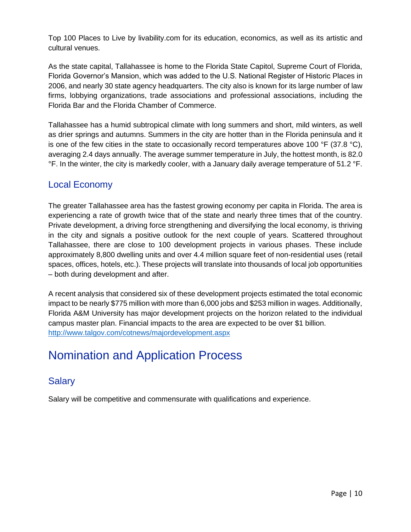Top 100 Places to Live by livability.com for its education, economics, as well as its artistic and cultural venues.

As the state capital, Tallahassee is home to the Florida State Capitol, Supreme Court of Florida, Florida Governor's Mansion, which was added to the U.S. National Register of Historic Places in 2006, and nearly 30 state agency headquarters. The city also is known for its large number of law firms, lobbying organizations, trade associations and professional associations, including the Florida Bar and the Florida Chamber of Commerce.

Tallahassee has a humid subtropical climate with long summers and short, mild winters, as well as drier springs and autumns. Summers in the city are hotter than in the Florida peninsula and it is one of the few cities in the state to occasionally record temperatures above 100  $\degree$ F (37.8  $\degree$ C), averaging 2.4 days annually. The average summer temperature in July, the hottest month, is 82.0 °F. In the winter, the city is markedly cooler, with a January daily average temperature of 51.2 °F.

#### Local Economy

The greater Tallahassee area has the fastest growing economy per capita in Florida. The area is experiencing a rate of growth twice that of the state and nearly three times that of the country. Private development, a driving force strengthening and diversifying the local economy, is thriving in the city and signals a positive outlook for the next couple of years. Scattered throughout Tallahassee, there are close to 100 development projects in various phases. These include approximately 8,800 dwelling units and over 4.4 million square feet of non-residential uses (retail spaces, offices, hotels, etc.). These projects will translate into thousands of local job opportunities – both during development and after.

A recent analysis that considered six of these development projects estimated the total economic impact to be nearly \$775 million with more than 6,000 jobs and \$253 million in wages. Additionally, Florida A&M University has major development projects on the horizon related to the individual campus master plan. Financial impacts to the area are expected to be over \$1 billion. <http://www.talgov.com/cotnews/majordevelopment.aspx>

# Nomination and Application Process

### **Salary**

Salary will be competitive and commensurate with qualifications and experience.